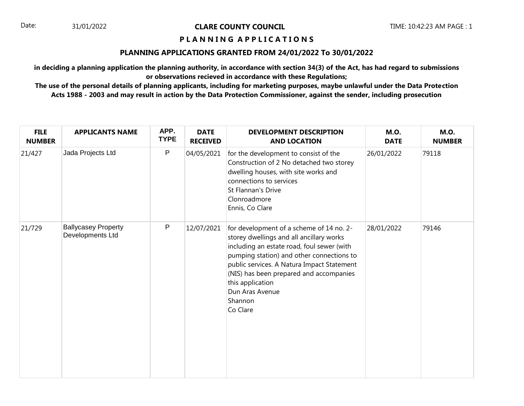# **P L A N N I N G A P P L I C A T I O N S**

## **PLANNING APPLICATIONS GRANTED FROM 24/01/2022 To 30/01/2022**

**in deciding a planning application the planning authority, in accordance with section 34(3) of the Act, has had regard to submissions or observations recieved in accordance with these Regulations;**

| <b>FILE</b><br><b>NUMBER</b> | <b>APPLICANTS NAME</b>                         | APP.<br><b>TYPE</b> | <b>DATE</b><br><b>RECEIVED</b> | <b>DEVELOPMENT DESCRIPTION</b><br><b>AND LOCATION</b>                                                                                                                                                                                                                                                                                  | <b>M.O.</b><br><b>DATE</b> | <b>M.O.</b><br><b>NUMBER</b> |
|------------------------------|------------------------------------------------|---------------------|--------------------------------|----------------------------------------------------------------------------------------------------------------------------------------------------------------------------------------------------------------------------------------------------------------------------------------------------------------------------------------|----------------------------|------------------------------|
| 21/427                       | Jada Projects Ltd                              | P                   | 04/05/2021                     | for the development to consist of the<br>Construction of 2 No detached two storey<br>dwelling houses, with site works and<br>connections to services<br><b>St Flannan's Drive</b><br>Clonroadmore<br>Ennis, Co Clare                                                                                                                   | 26/01/2022                 | 79118                        |
| 21/729                       | <b>Ballycasey Property</b><br>Developments Ltd | P                   | 12/07/2021                     | for development of a scheme of 14 no. 2-<br>storey dwellings and all ancillary works<br>including an estate road, foul sewer (with<br>pumping station) and other connections to<br>public services. A Natura Impact Statement<br>(NIS) has been prepared and accompanies<br>this application<br>Dun Aras Avenue<br>Shannon<br>Co Clare | 28/01/2022                 | 79146                        |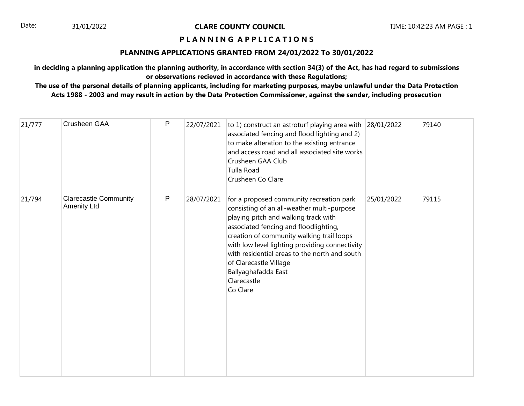# **P L A N N I N G A P P L I C A T I O N S**

## **PLANNING APPLICATIONS GRANTED FROM 24/01/2022 To 30/01/2022**

**in deciding a planning application the planning authority, in accordance with section 34(3) of the Act, has had regard to submissions or observations recieved in accordance with these Regulations;**

| 21/777 | Crusheen GAA                                       | P         | 22/07/2021 | to 1) construct an astroturf playing area with 28/01/2022<br>associated fencing and flood lighting and 2)<br>to make alteration to the existing entrance<br>and access road and all associated site works<br>Crusheen GAA Club<br><b>Tulla Road</b><br>Crusheen Co Clare                                                                                                                            |            | 79140 |
|--------|----------------------------------------------------|-----------|------------|-----------------------------------------------------------------------------------------------------------------------------------------------------------------------------------------------------------------------------------------------------------------------------------------------------------------------------------------------------------------------------------------------------|------------|-------|
| 21/794 | <b>Clarecastle Community</b><br><b>Amenity Ltd</b> | ${\sf P}$ | 28/07/2021 | for a proposed community recreation park<br>consisting of an all-weather multi-purpose<br>playing pitch and walking track with<br>associated fencing and floodlighting,<br>creation of community walking trail loops<br>with low level lighting providing connectivity<br>with residential areas to the north and south<br>of Clarecastle Village<br>Ballyaghafadda East<br>Clarecastle<br>Co Clare | 25/01/2022 | 79115 |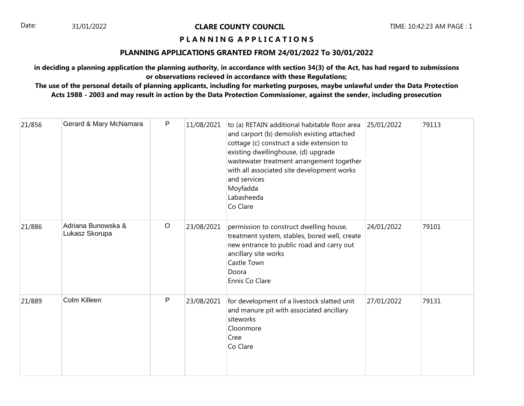# **P L A N N I N G A P P L I C A T I O N S**

## **PLANNING APPLICATIONS GRANTED FROM 24/01/2022 To 30/01/2022**

**in deciding a planning application the planning authority, in accordance with section 34(3) of the Act, has had regard to submissions or observations recieved in accordance with these Regulations;**

| 21/856 | Gerard & Mary McNamara               | P       | 11/08/2021 | to (a) RETAIN additional habitable floor area<br>and carport (b) demolish existing attached<br>cottage (c) construct a side extension to<br>existing dwellinghouse, (d) upgrade<br>wastewater treatment arrangement together<br>with all associated site development works<br>and services<br>Moyfadda<br>Labasheeda<br>Co Clare | 25/01/2022 | 79113 |
|--------|--------------------------------------|---------|------------|----------------------------------------------------------------------------------------------------------------------------------------------------------------------------------------------------------------------------------------------------------------------------------------------------------------------------------|------------|-------|
| 21/886 | Adriana Bunowska &<br>Lukasz Skorupa | $\circ$ | 23/08/2021 | permission to construct dwelling house,<br>treatment system, stables, bored well, create<br>new entrance to public road and carry out<br>ancillary site works<br>Castle Town<br>Doora<br>Ennis Co Clare                                                                                                                          | 24/01/2022 | 79101 |
| 21/889 | Colm Killeen                         | P       | 23/08/2021 | for development of a livestock slatted unit<br>and manure pit with associated ancillary<br>siteworks<br>Cloonmore<br>Cree<br>Co Clare                                                                                                                                                                                            | 27/01/2022 | 79131 |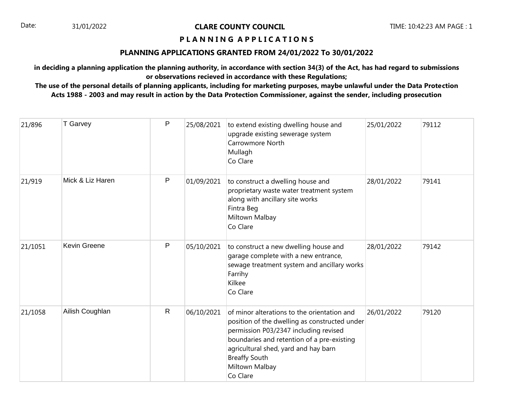# **P L A N N I N G A P P L I C A T I O N S**

## **PLANNING APPLICATIONS GRANTED FROM 24/01/2022 To 30/01/2022**

**in deciding a planning application the planning authority, in accordance with section 34(3) of the Act, has had regard to submissions or observations recieved in accordance with these Regulations;**

| 21/896  | T Garvey         | P            | 25/08/2021 | to extend existing dwelling house and<br>upgrade existing sewerage system<br>Carrowmore North<br>Mullagh<br>Co Clare                                                                                                                                                              | 25/01/2022 | 79112 |
|---------|------------------|--------------|------------|-----------------------------------------------------------------------------------------------------------------------------------------------------------------------------------------------------------------------------------------------------------------------------------|------------|-------|
| 21/919  | Mick & Liz Haren | P            | 01/09/2021 | to construct a dwelling house and<br>proprietary waste water treatment system<br>along with ancillary site works<br>Fintra Beg<br>Miltown Malbay<br>Co Clare                                                                                                                      | 28/01/2022 | 79141 |
| 21/1051 | Kevin Greene     | P            | 05/10/2021 | to construct a new dwelling house and<br>garage complete with a new entrance,<br>sewage treatment system and ancillary works<br>Farrihy<br>Kilkee<br>Co Clare                                                                                                                     | 28/01/2022 | 79142 |
| 21/1058 | Ailish Coughlan  | $\mathsf{R}$ | 06/10/2021 | of minor alterations to the orientation and<br>position of the dwelling as constructed under<br>permission P03/2347 including revised<br>boundaries and retention of a pre-existing<br>agricultural shed, yard and hay barn<br><b>Breaffy South</b><br>Miltown Malbay<br>Co Clare | 26/01/2022 | 79120 |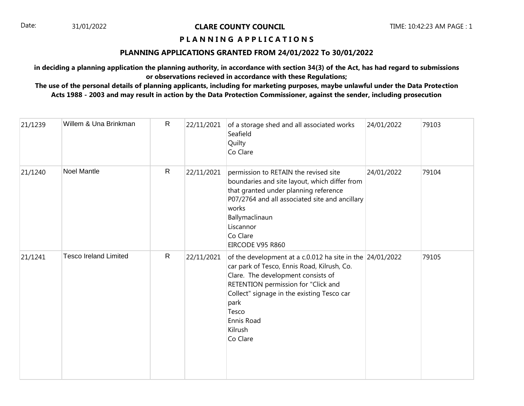# **P L A N N I N G A P P L I C A T I O N S**

## **PLANNING APPLICATIONS GRANTED FROM 24/01/2022 To 30/01/2022**

**in deciding a planning application the planning authority, in accordance with section 34(3) of the Act, has had regard to submissions or observations recieved in accordance with these Regulations;**

| 21/1239 | Willem & Una Brinkman        | $\mathsf{R}$ | 22/11/2021 | of a storage shed and all associated works<br>Seafield<br>Quilty<br>Co Clare                                                                                                                                                                                                                       | 24/01/2022 | 79103 |
|---------|------------------------------|--------------|------------|----------------------------------------------------------------------------------------------------------------------------------------------------------------------------------------------------------------------------------------------------------------------------------------------------|------------|-------|
| 21/1240 | <b>Noel Mantle</b>           | $\mathsf{R}$ | 22/11/2021 | permission to RETAIN the revised site<br>boundaries and site layout, which differ from<br>that granted under planning reference<br>P07/2764 and all associated site and ancillary<br>works<br>Ballymaclinaun<br>Liscannor<br>Co Clare<br>EIRCODE V95 R860                                          | 24/01/2022 | 79104 |
| 21/1241 | <b>Tesco Ireland Limited</b> | $\mathsf{R}$ | 22/11/2021 | of the development at a c.0.012 ha site in the $24/01/2022$<br>car park of Tesco, Ennis Road, Kilrush, Co.<br>Clare. The development consists of<br>RETENTION permission for "Click and<br>Collect" signage in the existing Tesco car<br>park<br>Tesco<br><b>Ennis Road</b><br>Kilrush<br>Co Clare |            | 79105 |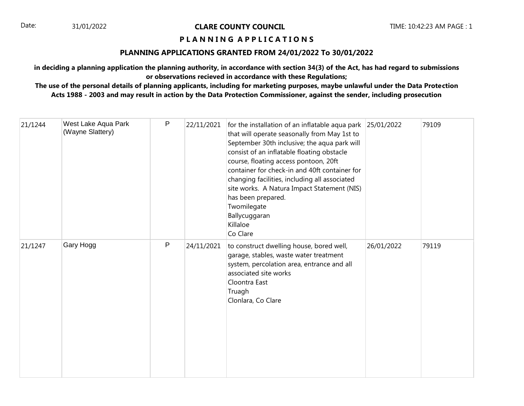# **P L A N N I N G A P P L I C A T I O N S**

# **PLANNING APPLICATIONS GRANTED FROM 24/01/2022 To 30/01/2022**

**in deciding a planning application the planning authority, in accordance with section 34(3) of the Act, has had regard to submissions or observations recieved in accordance with these Regulations;**

| 21/1244 | West Lake Aqua Park<br>(Wayne Slattery) | P | 22/11/2021 | for the installation of an inflatable aqua park 25/01/2022<br>that will operate seasonally from May 1st to<br>September 30th inclusive; the aqua park will<br>consist of an inflatable floating obstacle<br>course, floating access pontoon, 20ft<br>container for check-in and 40ft container for<br>changing facilities, including all associated<br>site works. A Natura Impact Statement (NIS)<br>has been prepared.<br>Twomilegate<br>Ballycuggaran<br>Killaloe<br>Co Clare |            | 79109 |
|---------|-----------------------------------------|---|------------|----------------------------------------------------------------------------------------------------------------------------------------------------------------------------------------------------------------------------------------------------------------------------------------------------------------------------------------------------------------------------------------------------------------------------------------------------------------------------------|------------|-------|
| 21/1247 | Gary Hogg                               | P | 24/11/2021 | to construct dwelling house, bored well,<br>garage, stables, waste water treatment<br>system, percolation area, entrance and all<br>associated site works<br>Cloontra East<br>Truagh<br>Clonlara, Co Clare                                                                                                                                                                                                                                                                       | 26/01/2022 | 79119 |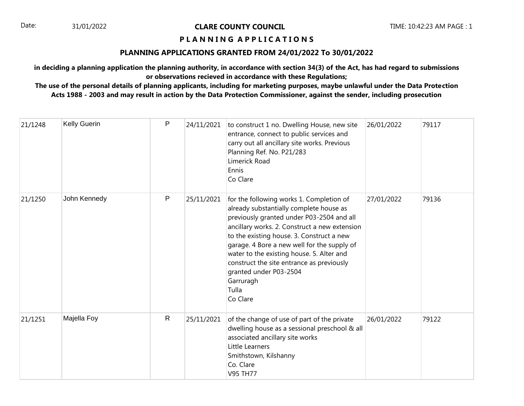# **P L A N N I N G A P P L I C A T I O N S**

## **PLANNING APPLICATIONS GRANTED FROM 24/01/2022 To 30/01/2022**

**in deciding a planning application the planning authority, in accordance with section 34(3) of the Act, has had regard to submissions or observations recieved in accordance with these Regulations;**

| 21/1248 | Kelly Guerin | P            | 24/11/2021 | to construct 1 no. Dwelling House, new site<br>entrance, connect to public services and<br>carry out all ancillary site works. Previous<br>Planning Ref. No. P21/283<br>Limerick Road<br>Ennis<br>Co Clare                                                                                                                                                                                                                          | 26/01/2022 | 79117 |
|---------|--------------|--------------|------------|-------------------------------------------------------------------------------------------------------------------------------------------------------------------------------------------------------------------------------------------------------------------------------------------------------------------------------------------------------------------------------------------------------------------------------------|------------|-------|
| 21/1250 | John Kennedy | P            | 25/11/2021 | for the following works 1. Completion of<br>already substantially complete house as<br>previously granted under P03-2504 and all<br>ancillary works. 2. Construct a new extension<br>to the existing house. 3. Construct a new<br>garage. 4 Bore a new well for the supply of<br>water to the existing house. 5. Alter and<br>construct the site entrance as previously<br>granted under P03-2504<br>Garruragh<br>Tulla<br>Co Clare | 27/01/2022 | 79136 |
| 21/1251 | Majella Foy  | $\mathsf{R}$ | 25/11/2021 | of the change of use of part of the private<br>dwelling house as a sessional preschool & all<br>associated ancillary site works<br>Little Learners<br>Smithstown, Kilshanny<br>Co. Clare<br><b>V95 TH77</b>                                                                                                                                                                                                                         | 26/01/2022 | 79122 |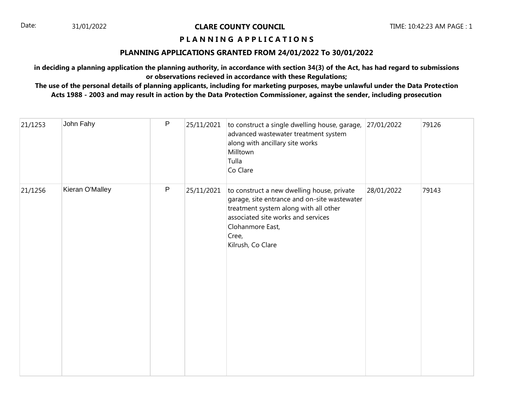# **P L A N N I N G A P P L I C A T I O N S**

# **PLANNING APPLICATIONS GRANTED FROM 24/01/2022 To 30/01/2022**

**in deciding a planning application the planning authority, in accordance with section 34(3) of the Act, has had regard to submissions or observations recieved in accordance with these Regulations;**

| 21/1253 | John Fahy       | $\mathsf{P}$ | 25/11/2021 | to construct a single dwelling house, garage,<br>advanced wastewater treatment system<br>along with ancillary site works<br>Milltown<br>Tulla<br>Co Clare                                                                   | 27/01/2022 | 79126 |
|---------|-----------------|--------------|------------|-----------------------------------------------------------------------------------------------------------------------------------------------------------------------------------------------------------------------------|------------|-------|
| 21/1256 | Kieran O'Malley | $\sf P$      | 25/11/2021 | to construct a new dwelling house, private<br>garage, site entrance and on-site wastewater<br>treatment system along with all other<br>associated site works and services<br>Clohanmore East,<br>Cree,<br>Kilrush, Co Clare | 28/01/2022 | 79143 |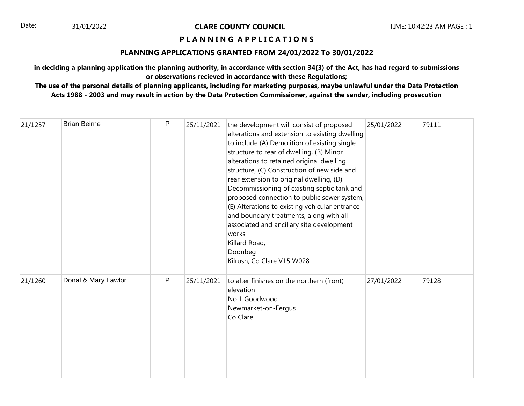# **P L A N N I N G A P P L I C A T I O N S**

# **PLANNING APPLICATIONS GRANTED FROM 24/01/2022 To 30/01/2022**

**in deciding a planning application the planning authority, in accordance with section 34(3) of the Act, has had regard to submissions or observations recieved in accordance with these Regulations;**

| 21/1257 | <b>Brian Beirne</b> | P | 25/11/2021 | the development will consist of proposed<br>alterations and extension to existing dwelling<br>to include (A) Demolition of existing single<br>structure to rear of dwelling, (B) Minor<br>alterations to retained original dwelling<br>structure, (C) Construction of new side and<br>rear extension to original dwelling, (D)<br>Decommissioning of existing septic tank and<br>proposed connection to public sewer system,<br>(E) Alterations to existing vehicular entrance<br>and boundary treatments, along with all<br>associated and ancillary site development<br>works<br>Killard Road,<br>Doonbeg<br>Kilrush, Co Clare V15 W028 | 25/01/2022 | 79111 |
|---------|---------------------|---|------------|-------------------------------------------------------------------------------------------------------------------------------------------------------------------------------------------------------------------------------------------------------------------------------------------------------------------------------------------------------------------------------------------------------------------------------------------------------------------------------------------------------------------------------------------------------------------------------------------------------------------------------------------|------------|-------|
| 21/1260 | Donal & Mary Lawlor | P | 25/11/2021 | to alter finishes on the northern (front)<br>elevation<br>No 1 Goodwood<br>Newmarket-on-Fergus<br>Co Clare                                                                                                                                                                                                                                                                                                                                                                                                                                                                                                                                | 27/01/2022 | 79128 |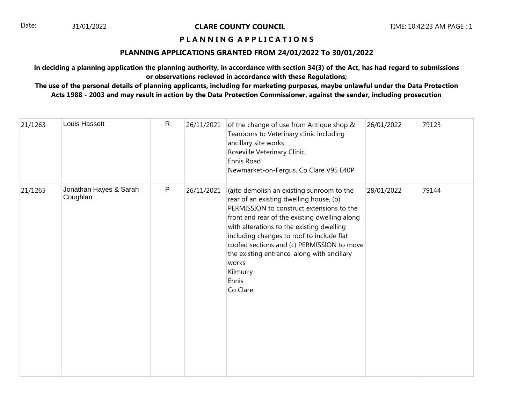# **P L A N N I N G A P P L I C A T I O N S**

# **PLANNING APPLICATIONS GRANTED FROM 24/01/2022 To 30/01/2022**

**in deciding a planning application the planning authority, in accordance with section 34(3) of the Act, has had regard to submissions or observations recieved in accordance with these Regulations;**

| 21/1263 | Louis Hassett                      | $\mathsf{R}$ | 26/11/2021 | of the change of use from Antique shop &<br>Tearooms to Veterinary clinic including<br>ancillary site works<br>Roseville Veterinary Clinic,<br>Ennis Road<br>Newmarket-on-Fergus, Co Clare V95 E40P                                                                                                                                                                                                                 | 26/01/2022 | 79123 |
|---------|------------------------------------|--------------|------------|---------------------------------------------------------------------------------------------------------------------------------------------------------------------------------------------------------------------------------------------------------------------------------------------------------------------------------------------------------------------------------------------------------------------|------------|-------|
| 21/1265 | Jonathan Hayes & Sarah<br>Coughlan | $\mathsf{P}$ | 26/11/2021 | (a)to demolish an existing sunroom to the<br>rear of an existing dwelling house, (b)<br>PERMISSION to construct extensions to the<br>front and rear of the existing dwelling along<br>with alterations to the existing dwelling<br>including changes to roof to include flat<br>roofed sections and (c) PERMISSION to move<br>the existing entrance, along with ancillary<br>works<br>Kilmurry<br>Ennis<br>Co Clare | 28/01/2022 | 79144 |